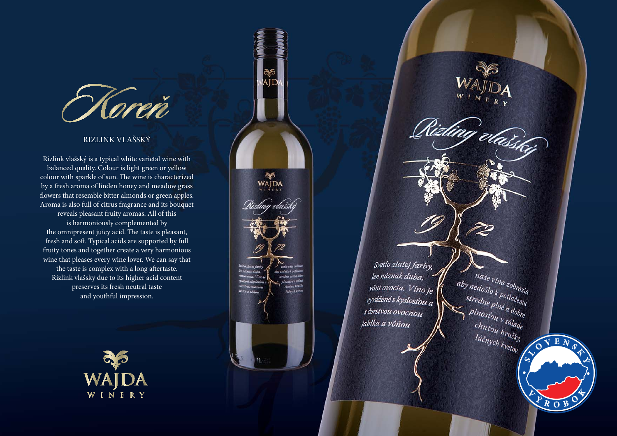

## RIZLINK VLAŠSKÝ

Rizlink vlašský is a typical white varietal wine with balanced quality. Colour is light green or yellow colour with sparkle of sun. The wine is characterized by a fresh aroma of linden honey and meadow grass flowers that resemble bitter almonds or green apples. Aroma is also full of citrus fragrance and its bouquet reveals pleasant fruity aromas. All of this is harmoniously complemented by the omnipresent juicy acid. The taste is pleasant, fresh and soft. Typical acids are supported by full fruity tones and together create a very harmonious wine that pleases every wine lover. We can say that the taste is complex with a long aftertaste. Rizlink vlašský due to its higher acid content preserves its fresh neutral taste and youthful impression.



ಿದೆ.<br>WAJDA ocia. Vinc chaton hraik Nibika a vonos

Svetlo zlatej farby, len náznak duba, vôni ovocia. Víno je vyvážené s kyslosťou a s čerstvou ovocnou jablka a vôňou

Rizling vaising

naše vína zobrazia<br>nedošlo k poti

naše vína zobrazia<br>stredne k potlačeniu<br>stredne plné a ,

stredne plné a dobre

 $\left\{ \begin{array}{l} p_{l n e}^{e}{}_{p l n e}^{e}{}_{a}^{e}{}_{d b}^{e} \\ p_{l n o s}^{e}{}_{b}^{e}{}_{b}^{e}{}_{d}^{e} \\ p_{l n l}^{e}{}_{b}^{e}{}_{b}^{e}{}_{b}^{e} \end{array} \right.$ 

chutou v súlade<br>chutou hrušky, - atou hrušky,<br>lúčnych kvetov **V E N S L O S K Ý**  $\frac{1}{2}$ **<sup>V</sup> <sup>Ý</sup> OR O B**